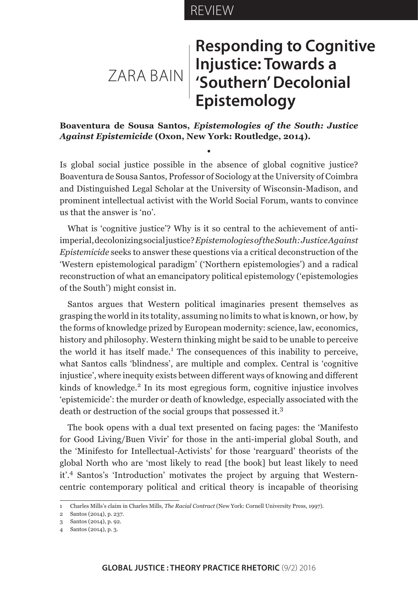## REVIEW

## ZARA BAIN **Responding to Cognitive Injustice: Towards a 'Southern' Decolonial Epistemology**

## **Boaventura de Sousa Santos,** *Epistemologies of the South: Justice Against Epistemicide* **(Oxon, New York: Routledge, 2014).**

**•**

Is global social justice possible in the absence of global cognitive justice? Boaventura de Sousa Santos, Professor of Sociology at the University of Coimbra and Distinguished Legal Scholar at the University of Wisconsin-Madison, and prominent intellectual activist with the World Social Forum, wants to convince us that the answer is 'no'.

What is 'cognitive justice'? Why is it so central to the achievement of antiimperial, decolonizing social justice? *Epistemologies of the South: Justice Against Epistemicide* seeks to answer these questions via a critical deconstruction of the 'Western epistemological paradigm' ('Northern epistemologies') and a radical reconstruction of what an emancipatory political epistemology ('epistemologies of the South') might consist in.

Santos argues that Western political imaginaries present themselves as grasping the world in its totality, assuming no limits to what is known, or how, by the forms of knowledge prized by European modernity: science, law, economics, history and philosophy. Western thinking might be said to be unable to perceive the world it has itself made.<sup>1</sup> The consequences of this inability to perceive, what Santos calls 'blindness', are multiple and complex. Central is 'cognitive injustice', where inequity exists between different ways of knowing and different kinds of knowledge.<sup>2</sup> In its most egregious form, cognitive injustice involves 'epistemicide': the murder or death of knowledge, especially associated with the death or destruction of the social groups that possessed it.<sup>3</sup>

The book opens with a dual text presented on facing pages: the 'Manifesto for Good Living/Buen Vivir' for those in the anti-imperial global South, and the 'Minifesto for Intellectual-Activists' for those 'rearguard' theorists of the global North who are 'most likely to read [the book] but least likely to need it'.4 Santos's 'Introduction' motivates the project by arguing that Westerncentric contemporary political and critical theory is incapable of theorising

<sup>1</sup> Charles Mills's claim in Charles Mills, *The Racial Contract* (New York: Cornell University Press, 1997).

<sup>2</sup> Santos (2014), p. 237.

<sup>3</sup> Santos (2014), p. 92.

<sup>4</sup> Santos (2014), p. 3.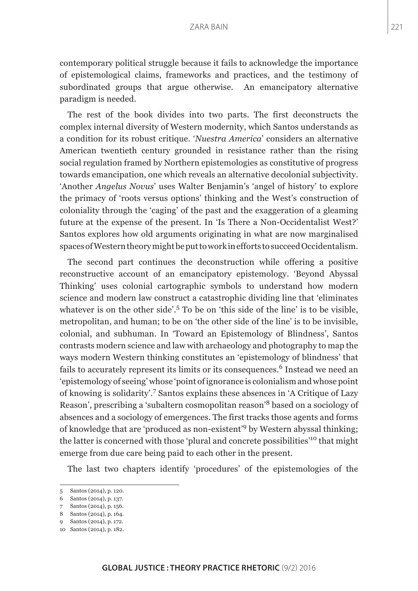contemporary political struggle because it fails to acknowledge the importance of epistemological claims, frameworks and practices, and the testimony of subordinated groups that argue otherwise. An emancipatory alternative paradigm is needed.

The rest of the book divides into two parts. The first deconstructs the complex internal diversity of Western modernity, which Santos understands as a condition for its robust critique. '*Nuestra America*' considers an alternative American twentieth century grounded in resistance rather than the rising social regulation framed by Northern epistemologies as constitutive of progress towards emancipation, one which reveals an alternative decolonial subjectivity. 'Another *Angelus Novus*' uses Walter Benjamin's 'angel of history' to explore the primacy of 'roots versus options' thinking and the West's construction of coloniality through the 'caging' of the past and the exaggeration of a gleaming future at the expense of the present. In 'Is There a Non-Occidentalist West?' Santos explores how old arguments originating in what are now marginalised spaces of Western theory might be put to work in efforts to succeed Occidentalism.

The second part continues the deconstruction while offering a positive reconstructive account of an emancipatory epistemology. 'Beyond Abyssal Thinking' uses colonial cartographic symbols to understand how modern science and modern law construct a catastrophic dividing line that 'eliminates whatever is on the other side'.<sup>5</sup> To be on 'this side of the line' is to be visible, metropolitan, and human; to be on 'the other side of the line' is to be invisible, colonial, and subhuman. In 'Toward an Epistemology of Blindness', Santos contrasts modern science and law with archaeology and photography to map the ways modern Western thinking constitutes an 'epistemology of blindness' that fails to accurately represent its limits or its consequences.<sup>6</sup> Instead we need an 'epistemology of seeing' whose 'point of ignorance is colonialism and whose point of knowing is solidarity'.<sup>7</sup> Santos explains these absences in 'A Critique of Lazy Reason', prescribing a 'subaltern cosmopolitan reason'8 based on a sociology of absences and a sociology of emergences. The first tracks those agents and forms of knowledge that are 'produced as non-existent'9 by Western abyssal thinking; the latter is concerned with those 'plural and concrete possibilities'10 that might emerge from due care being paid to each other in the present.

The last two chapters identify 'procedures' of the epistemologies of the

<sup>5</sup> Santos (2014), p. 120.

<sup>6</sup> Santos (2014), p. 137.

<sup>7</sup> Santos (2014), p. 156.

<sup>8</sup> Santos (2014), p. 164.

<sup>9</sup> Santos (2014), p. 172.

<sup>10</sup> Santos (2014), p. 182.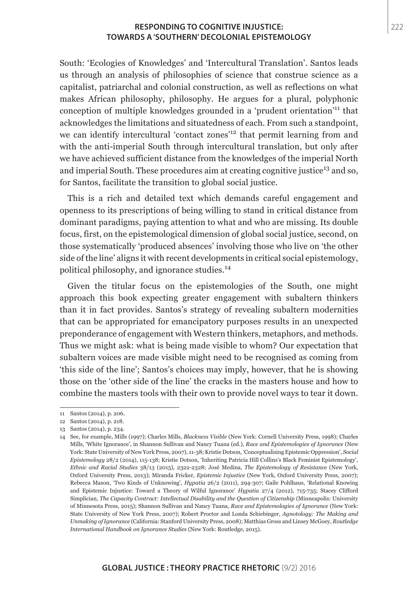## **RESPONDING TO COGNITIVE INJUSTICE: TOWARDS A 'SOUTHERN' DECOLONIAL EPISTEMOLOGY**

South: 'Ecologies of Knowledges' and 'Intercultural Translation'. Santos leads us through an analysis of philosophies of science that construe science as a capitalist, patriarchal and colonial construction, as well as reflections on what makes African philosophy, philosophy. He argues for a plural, polyphonic conception of multiple knowledges grounded in a 'prudent orientation'11 that acknowledges the limitations and situatedness of each. From such a standpoint, we can identify intercultural 'contact zones'12 that permit learning from and with the anti-imperial South through intercultural translation, but only after we have achieved sufficient distance from the knowledges of the imperial North and imperial South. These procedures aim at creating cognitive justice<sup>13</sup> and so, for Santos, facilitate the transition to global social justice.

This is a rich and detailed text which demands careful engagement and openness to its prescriptions of being willing to stand in critical distance from dominant paradigms, paying attention to what and who are missing. Its double focus, first, on the epistemological dimension of global social justice, second, on those systematically 'produced absences' involving those who live on 'the other side of the line' aligns it with recent developments in critical social epistemology, political philosophy, and ignorance studies.<sup>14</sup>

Given the titular focus on the epistemologies of the South, one might approach this book expecting greater engagement with subaltern thinkers than it in fact provides. Santos's strategy of revealing subaltern modernities that can be appropriated for emancipatory purposes results in an unexpected preponderance of engagement with Western thinkers, metaphors, and methods. Thus we might ask: what is being made visible to whom? Our expectation that subaltern voices are made visible might need to be recognised as coming from 'this side of the line'; Santos's choices may imply, however, that he is showing those on the 'other side of the line' the cracks in the masters house and how to combine the masters tools with their own to provide novel ways to tear it down.

<sup>11</sup> Santos (2014), p. 206.

<sup>12</sup> Santos (2014), p. 218.

<sup>13</sup> Santos (2014), p. 234.

<sup>14</sup> See, for example, Mills (1997); Charles Mills, *Blackness Visible* (New York: Cornell University Press, 1998); Charles Mills, 'White Ignorance', in Shannon Sullivan and Nancy Tuana (ed.), *Race and Epistemologies of Ignorance* (New York: State University of New York Press, 2007), 11-38; Kristie Dotson, 'Conceptualising Epistemic Oppression', *Social Epistemology* 28/2 (2014), 115-138; Kristie Dotson, 'Inheriting Patricia Hill Collins's Black Feminist Epistemology', *Ethnic and Racial Studies* 38/13 (2015), 2322-2328; José Medina, *The Epistemology of Resistance* (New York, Oxford University Press, 2013); Miranda Fricker, *Epistemic Injustice* (New York, Oxford University Press, 2007); Rebecca Mason, 'Two Kinds of Unknowing', *Hypatia* 26/2 (2011), 294-307; Gaile Pohlhaus, 'Relational Knowing and Epistemic Injustice: Toward a Theory of Wilful Ignorance' *Hypatia* 27/4 (2012), 715-735; Stacey Clifford Simplician, *The Capacity Contract: Intellectual Disability and the Question of Citizenship* (Minneapolis: University of Minnesota Press, 2015); Shannon Sullivan and Nancy Tuana, *Race and Epistemologies of Ignorance* (New York: State University of New York Press, 2007); Robert Proctor and Londa Schiebinger, *Agnotology: The Making and Unmaking of Ignorance* (California: Stanford University Press, 2008); Matthias Gross and Linsey McGoey, *Routledge International Handbook on Ignorance Studies* (New York: Routledge, 2015).